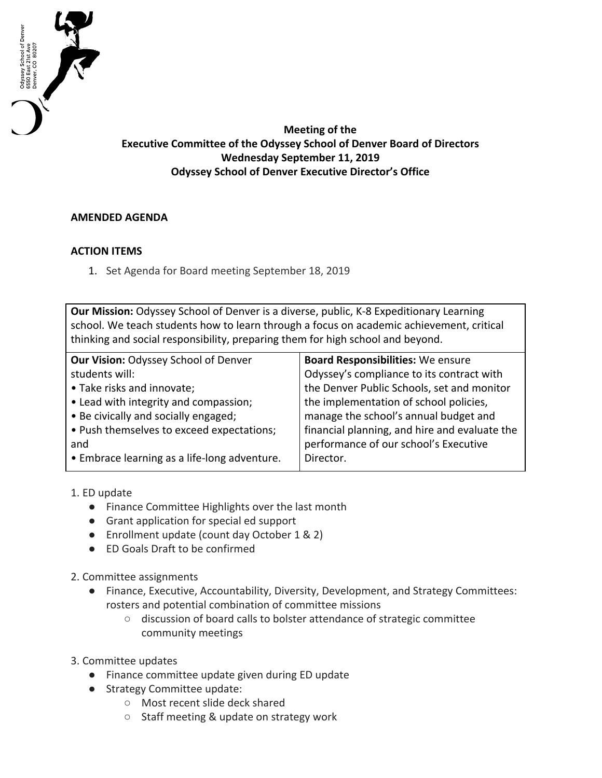

**Meeting of the Executive Committee of the Odyssey School of Denver Board of Directors Wednesday September 11, 2019 Odyssey School of Denver Executive Director's Office**

## **AMENDED AGENDA**

## **ACTION ITEMS**

1. Set Agenda for Board meeting September 18, 2019

**Our Mission:** Odyssey School of Denver is a diverse, public, K-8 Expeditionary Learning school. We teach students how to learn through a focus on academic achievement, critical thinking and social responsibility, preparing them for high school and beyond.

| Our Vision: Odyssey School of Denver         | <b>Board Responsibilities: We ensure</b>      |
|----------------------------------------------|-----------------------------------------------|
| students will:                               | Odyssey's compliance to its contract with     |
| • Take risks and innovate;                   | the Denver Public Schools, set and monitor    |
| • Lead with integrity and compassion;        | the implementation of school policies,        |
| • Be civically and socially engaged;         | manage the school's annual budget and         |
| . Push themselves to exceed expectations;    | financial planning, and hire and evaluate the |
| and                                          | performance of our school's Executive         |
| • Embrace learning as a life-long adventure. | Director.                                     |
|                                              |                                               |

- 1. ED update
	- Finance Committee Highlights over the last month
	- Grant application for special ed support
	- Enrollment update (count day October 1 & 2)
	- ED Goals Draft to be confirmed
- 2. Committee assignments
	- Finance, Executive, Accountability, Diversity, Development, and Strategy Committees: rosters and potential combination of committee missions
		- discussion of board calls to bolster attendance of strategic committee community meetings
- 3. Committee updates
	- Finance committee update given during ED update
	- Strategy Committee update:
		- Most recent slide deck shared
		- Staff meeting & update on strategy work